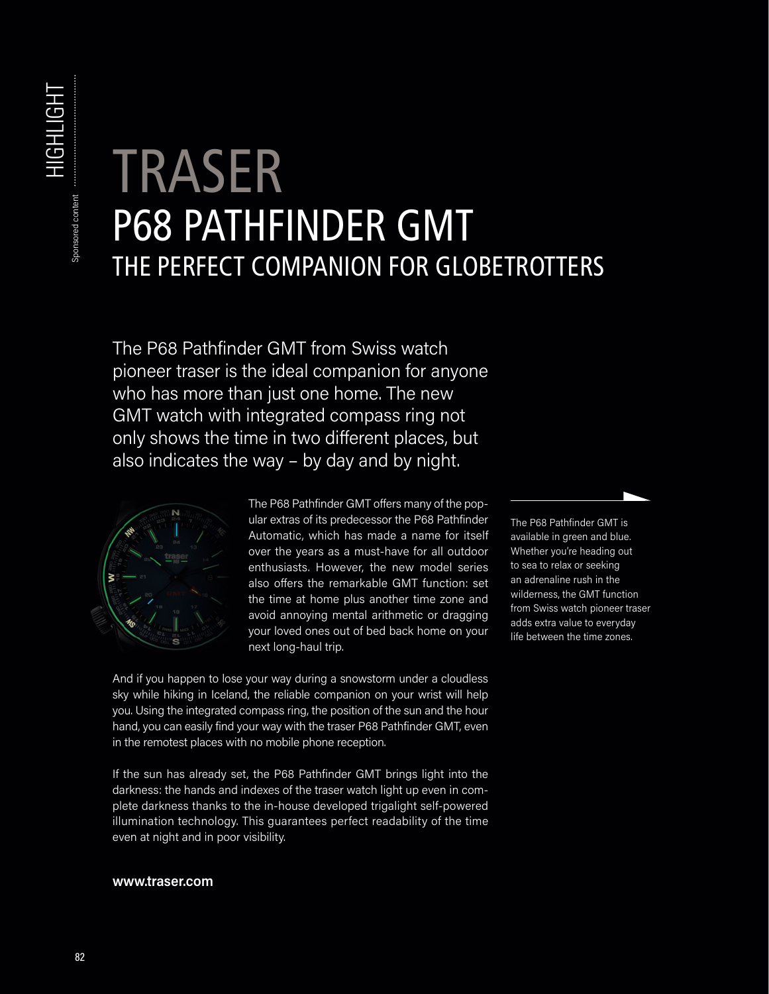## TRASER P68 PATHFINDER GMT THE PERFECT COMPANION FOR GLOBETROTTERS

The P68 Pathfinder GMT from Swiss watch pioneer traser is the ideal companion for anyone who has more than just one home. The new GMT watch with integrated compass ring not only shows the time in two different places, but also indicates the way – by day and by night.



The P68 Pathfinder GMT offers many of the popular extras of its predecessor the P68 Pathfinder Automatic, which has made a name for itself over the years as a must-have for all outdoor enthusiasts. However, the new model series also offers the remarkable GMT function: set the time at home plus another time zone and avoid annoying mental arithmetic or dragging your loved ones out of bed back home on your next long-haul trip.

And if you happen to lose your way during a snowstorm under a cloudless sky while hiking in Iceland, the reliable companion on your wrist will help you. Using the integrated compass ring, the position of the sun and the hour hand, you can easily find your way with the traser P68 Pathfinder GMT, even in the remotest places with no mobile phone reception.

If the sun has already set, the P68 Pathfinder GMT brings light into the darkness: the hands and indexes of the traser watch light up even in complete darkness thanks to the in-house developed trigalight self-powered illumination technology. This guarantees perfect readability of the time even at night and in poor visibility.

**www.traser.com**

The P68 Pathfinder GMT is available in green and blue. Whether you're heading out to sea to relax or seeking an adrenaline rush in the wilderness, the GMT function from Swiss watch pioneer traser adds extra value to everyday life between the time zones.